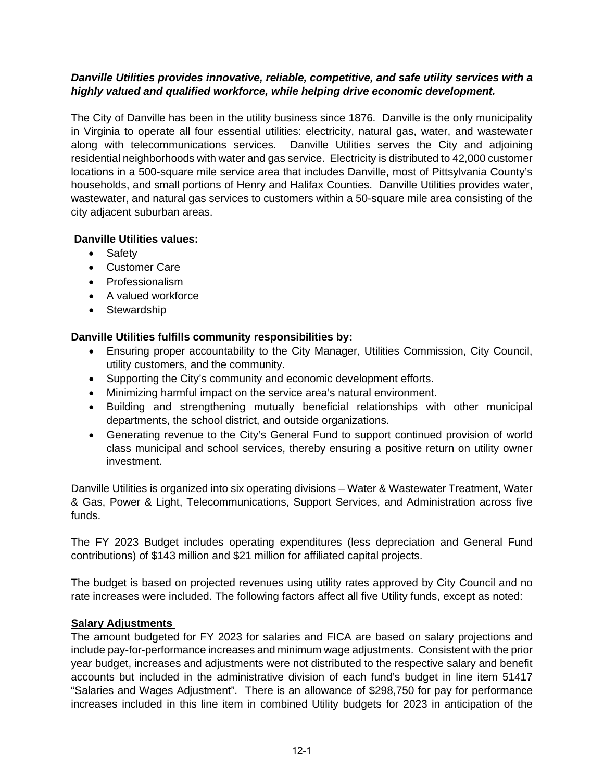### *Danville Utilities provides innovative, reliable, competitive, and safe utility services with a highly valued and qualified workforce, while helping drive economic development.*

The City of Danville has been in the utility business since 1876. Danville is the only municipality in Virginia to operate all four essential utilities: electricity, natural gas, water, and wastewater along with telecommunications services. Danville Utilities serves the City and adjoining residential neighborhoods with water and gas service. Electricity is distributed to 42,000 customer locations in a 500-square mile service area that includes Danville, most of Pittsylvania County's households, and small portions of Henry and Halifax Counties. Danville Utilities provides water, wastewater, and natural gas services to customers within a 50-square mile area consisting of the city adjacent suburban areas.

# **Danville Utilities values:**

- Safety
- Customer Care
- Professionalism
- A valued workforce
- Stewardship

# **Danville Utilities fulfills community responsibilities by:**

- Ensuring proper accountability to the City Manager, Utilities Commission, City Council, utility customers, and the community.
- Supporting the City's community and economic development efforts.
- Minimizing harmful impact on the service area's natural environment.
- Building and strengthening mutually beneficial relationships with other municipal departments, the school district, and outside organizations.
- Generating revenue to the City's General Fund to support continued provision of world class municipal and school services, thereby ensuring a positive return on utility owner investment.

Danville Utilities is organized into six operating divisions – Water & Wastewater Treatment, Water & Gas, Power & Light, Telecommunications, Support Services, and Administration across five funds.

The FY 2023 Budget includes operating expenditures (less depreciation and General Fund contributions) of \$143 million and \$21 million for affiliated capital projects.

The budget is based on projected revenues using utility rates approved by City Council and no rate increases were included. The following factors affect all five Utility funds, except as noted:

# **Salary Adjustments**

The amount budgeted for FY 2023 for salaries and FICA are based on salary projections and include pay-for-performance increases and minimum wage adjustments. Consistent with the prior year budget, increases and adjustments were not distributed to the respective salary and benefit accounts but included in the administrative division of each fund's budget in line item 51417 "Salaries and Wages Adjustment". There is an allowance of \$298,750 for pay for performance increases included in this line item in combined Utility budgets for 2023 in anticipation of the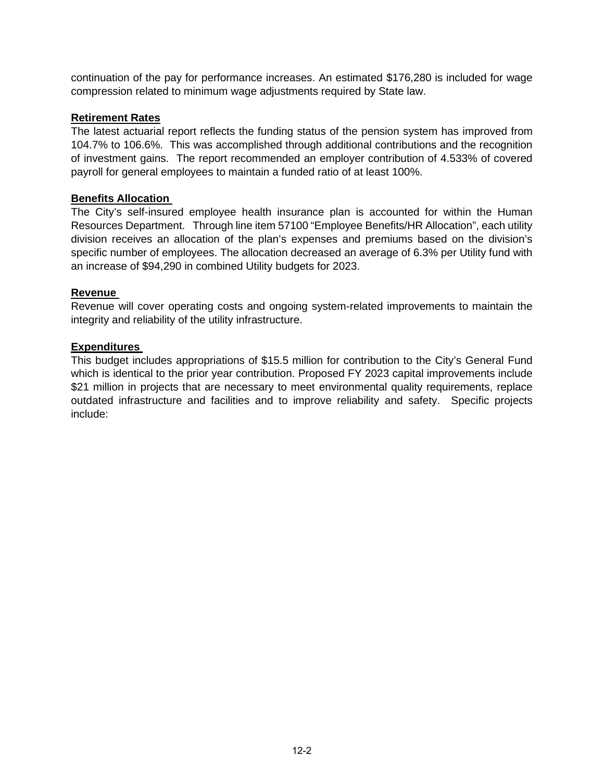continuation of the pay for performance increases. An estimated \$176,280 is included for wage compression related to minimum wage adjustments required by State law.

### **Retirement Rates**

The latest actuarial report reflects the funding status of the pension system has improved from 104.7% to 106.6%. This was accomplished through additional contributions and the recognition of investment gains. The report recommended an employer contribution of 4.533% of covered payroll for general employees to maintain a funded ratio of at least 100%.

#### **Benefits Allocation**

The City's self-insured employee health insurance plan is accounted for within the Human Resources Department. Through line item 57100 "Employee Benefits/HR Allocation", each utility division receives an allocation of the plan's expenses and premiums based on the division's specific number of employees. The allocation decreased an average of 6.3% per Utility fund with an increase of \$94,290 in combined Utility budgets for 2023.

#### **Revenue**

Revenue will cover operating costs and ongoing system-related improvements to maintain the integrity and reliability of the utility infrastructure.

#### **Expenditures**

This budget includes appropriations of \$15.5 million for contribution to the City's General Fund which is identical to the prior year contribution. Proposed FY 2023 capital improvements include \$21 million in projects that are necessary to meet environmental quality requirements, replace outdated infrastructure and facilities and to improve reliability and safety. Specific projects include: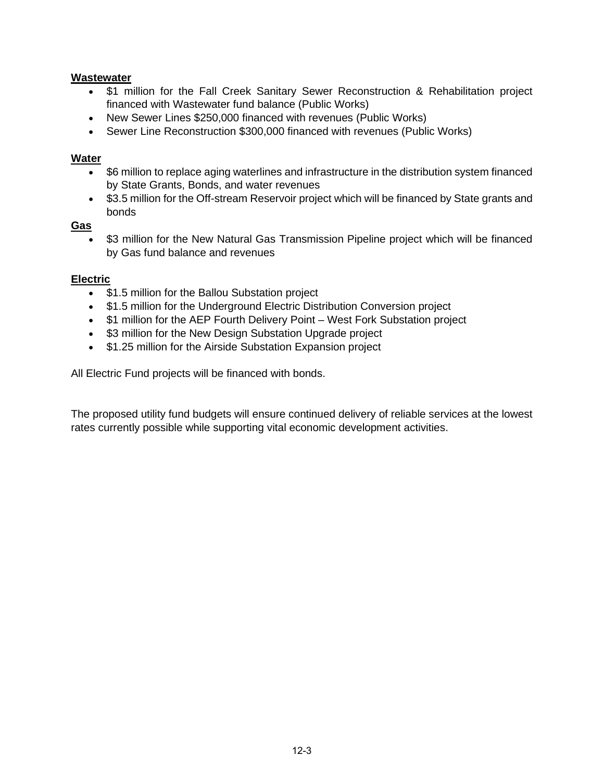### **Wastewater**

- \$1 million for the Fall Creek Sanitary Sewer Reconstruction & Rehabilitation project financed with Wastewater fund balance (Public Works)
- New Sewer Lines \$250,000 financed with revenues (Public Works)
- Sewer Line Reconstruction \$300,000 financed with revenues (Public Works)

## **Water**

- \$6 million to replace aging waterlines and infrastructure in the distribution system financed by State Grants, Bonds, and water revenues
- \$3.5 million for the Off-stream Reservoir project which will be financed by State grants and bonds

## **Gas**

\$3 million for the New Natural Gas Transmission Pipeline project which will be financed by Gas fund balance and revenues

## **Electric**

- \$1.5 million for the Ballou Substation project
- \$1.5 million for the Underground Electric Distribution Conversion project
- \$1 million for the AEP Fourth Delivery Point West Fork Substation project
- \$3 million for the New Design Substation Upgrade project
- \$1.25 million for the Airside Substation Expansion project

All Electric Fund projects will be financed with bonds.

The proposed utility fund budgets will ensure continued delivery of reliable services at the lowest rates currently possible while supporting vital economic development activities.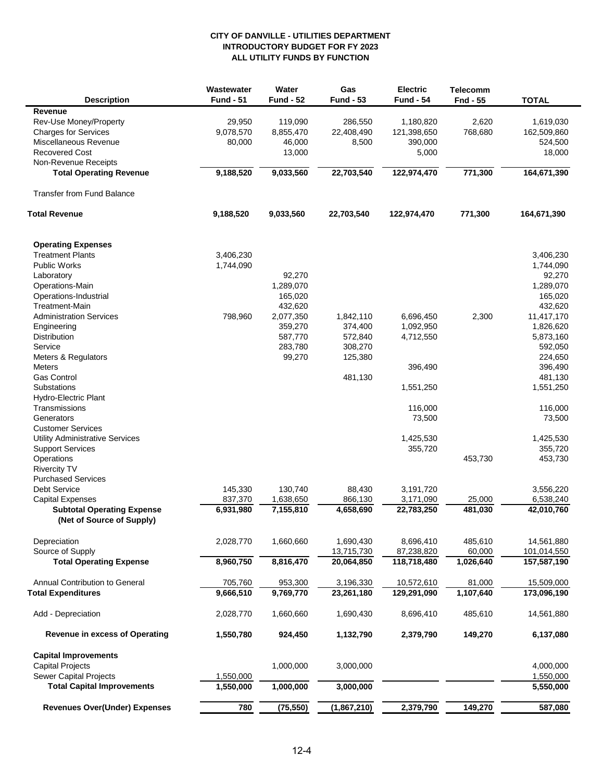#### **ALL UTILITY FUNDS BY FUNCTION INTRODUCTORY BUDGET FOR FY 2023 CITY OF DANVILLE - UTILITIES DEPARTMENT**

| <b>Description</b>                                   | Wastewater<br><b>Fund - 51</b> | Water<br><b>Fund - 52</b> | Gas<br><b>Fund - 53</b> | <b>Electric</b><br><b>Fund - 54</b> | <b>Telecomm</b><br>Fnd - 55 | <b>TOTAL</b>        |
|------------------------------------------------------|--------------------------------|---------------------------|-------------------------|-------------------------------------|-----------------------------|---------------------|
| Revenue                                              |                                |                           |                         |                                     |                             |                     |
| Rev-Use Money/Property                               | 29,950                         | 119,090                   | 286,550                 | 1,180,820                           | 2,620                       | 1,619,030           |
| <b>Charges for Services</b>                          | 9,078,570                      | 8,855,470                 | 22,408,490              | 121,398,650                         | 768,680                     | 162,509,860         |
| Miscellaneous Revenue                                | 80,000                         | 46,000                    | 8,500                   | 390,000                             |                             | 524,500             |
| <b>Recovered Cost</b>                                |                                | 13,000                    |                         | 5,000                               |                             | 18,000              |
| Non-Revenue Receipts                                 |                                |                           |                         |                                     |                             |                     |
| <b>Total Operating Revenue</b>                       | 9,188,520                      | 9,033,560                 | 22,703,540              | 122,974,470                         | 771,300                     | 164,671,390         |
| <b>Transfer from Fund Balance</b>                    |                                |                           |                         |                                     |                             |                     |
| <b>Total Revenue</b>                                 | 9,188,520                      | 9,033,560                 | 22,703,540              | 122,974,470                         | 771,300                     | 164,671,390         |
|                                                      |                                |                           |                         |                                     |                             |                     |
| <b>Operating Expenses</b><br><b>Treatment Plants</b> |                                |                           |                         |                                     |                             |                     |
| <b>Public Works</b>                                  | 3,406,230<br>1,744,090         |                           |                         |                                     |                             | 3,406,230           |
|                                                      |                                | 92,270                    |                         |                                     |                             | 1,744,090<br>92,270 |
| Laboratory<br>Operations-Main                        |                                | 1,289,070                 |                         |                                     |                             | 1,289,070           |
| Operations-Industrial                                |                                | 165,020                   |                         |                                     |                             | 165.020             |
| <b>Treatment-Main</b>                                |                                | 432,620                   |                         |                                     |                             | 432,620             |
| <b>Administration Services</b>                       | 798,960                        | 2,077,350                 | 1,842,110               | 6,696,450                           | 2,300                       | 11,417,170          |
| Engineering                                          |                                | 359,270                   | 374,400                 | 1,092,950                           |                             | 1,826,620           |
| Distribution                                         |                                | 587,770                   | 572,840                 | 4,712,550                           |                             | 5,873,160           |
| Service                                              |                                | 283,780                   | 308,270                 |                                     |                             | 592,050             |
| Meters & Regulators                                  |                                | 99,270                    | 125,380                 |                                     |                             | 224,650             |
| <b>Meters</b>                                        |                                |                           |                         | 396,490                             |                             | 396,490             |
| <b>Gas Control</b>                                   |                                |                           | 481,130                 |                                     |                             | 481,130             |
| Substations                                          |                                |                           |                         | 1,551,250                           |                             | 1,551,250           |
| Hydro-Electric Plant                                 |                                |                           |                         |                                     |                             |                     |
| Transmissions                                        |                                |                           |                         | 116,000                             |                             | 116,000             |
| Generators                                           |                                |                           |                         | 73,500                              |                             | 73,500              |
| <b>Customer Services</b>                             |                                |                           |                         |                                     |                             |                     |
| <b>Utility Administrative Services</b>               |                                |                           |                         | 1,425,530                           |                             | 1,425,530           |
| <b>Support Services</b>                              |                                |                           |                         | 355,720                             |                             | 355,720             |
| Operations                                           |                                |                           |                         |                                     | 453,730                     | 453,730             |
| <b>Rivercity TV</b>                                  |                                |                           |                         |                                     |                             |                     |
| <b>Purchased Services</b>                            |                                |                           |                         |                                     |                             |                     |
| <b>Debt Service</b>                                  | 145,330                        | 130,740                   | 88,430                  | 3,191,720                           |                             | 3,556,220           |
| <b>Capital Expenses</b>                              | 837,370                        | 1,638,650                 | 866,130                 | 3,171,090                           | 25,000                      | 6,538,240           |
| <b>Subtotal Operating Expense</b>                    | 6,931,980                      | 7,155,810                 | 4,658,690               | 22,783,250                          | 481,030                     | 42,010,760          |
| (Net of Source of Supply)                            |                                |                           |                         |                                     |                             |                     |
| Depreciation                                         | 2,028,770                      | 1,660,660                 | 1,690,430               | 8,696,410                           | 485,610                     | 14,561,880          |
| Source of Supply                                     |                                |                           | 13,715,730              | 87,238,820                          | 60,000                      | 101,014,550         |
| <b>Total Operating Expense</b>                       | 8,960,750                      | 8,816,470                 | 20,064,850              | 118,718,480                         | 1,026,640                   | 157,587,190         |
| Annual Contribution to General                       | 705,760                        | 953,300                   | 3,196,330               | 10,572,610                          | 81,000                      | 15,509,000          |
| <b>Total Expenditures</b>                            | 9,666,510                      | 9,769,770                 | 23,261,180              | 129,291,090                         | 1,107,640                   | 173,096,190         |
| Add - Depreciation                                   | 2,028,770                      | 1,660,660                 | 1,690,430               | 8,696,410                           | 485,610                     | 14,561,880          |
| <b>Revenue in excess of Operating</b>                | 1,550,780                      | 924,450                   | 1,132,790               | 2,379,790                           | 149,270                     | 6,137,080           |
| <b>Capital Improvements</b>                          |                                |                           |                         |                                     |                             |                     |
| <b>Capital Projects</b>                              |                                | 1,000,000                 | 3,000,000               |                                     |                             | 4,000,000           |
| Sewer Capital Projects                               | 1,550,000                      |                           |                         |                                     |                             | 1,550,000           |
| <b>Total Capital Improvements</b>                    | 1,550,000                      | 1,000,000                 | 3,000,000               |                                     |                             | 5,550,000           |
| <b>Revenues Over(Under) Expenses</b>                 | 780                            | (75, 550)                 | (1,867,210)             | 2,379,790                           | 149,270                     | 587,080             |